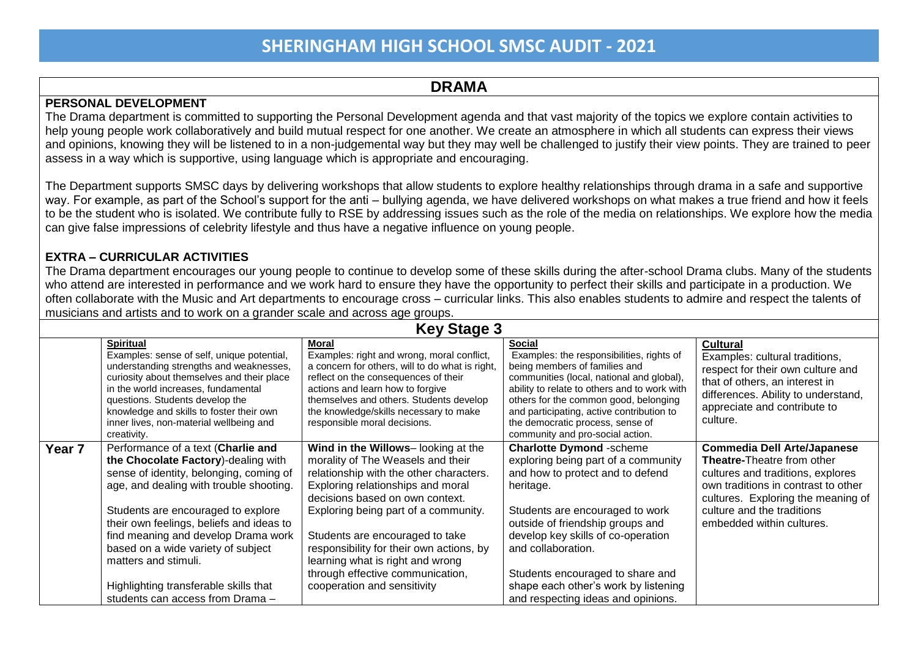### **DRAMA**

#### **PERSONAL DEVELOPMENT**

The Drama department is committed to supporting the Personal Development agenda and that vast majority of the topics we explore contain activities to help young people work collaboratively and build mutual respect for one another. We create an atmosphere in which all students can express their views and opinions, knowing they will be listened to in a non-judgemental way but they may well be challenged to justify their view points. They are trained to peer assess in a way which is supportive, using language which is appropriate and encouraging.

The Department supports SMSC days by delivering workshops that allow students to explore healthy relationships through drama in a safe and supportive way. For example, as part of the School's support for the anti – bullying agenda, we have delivered workshops on what makes a true friend and how it feels to be the student who is isolated. We contribute fully to RSE by addressing issues such as the role of the media on relationships. We explore how the media can give false impressions of celebrity lifestyle and thus have a negative influence on young people.

#### **EXTRA – CURRICULAR ACTIVITIES**

The Drama department encourages our young people to continue to develop some of these skills during the after-school Drama clubs. Many of the students who attend are interested in performance and we work hard to ensure they have the opportunity to perfect their skills and participate in a production. We often collaborate with the Music and Art departments to encourage cross – curricular links. This also enables students to admire and respect the talents of musicians and artists and to work on a grander scale and across age groups.

| <b>Key Stage 3</b> |                                                                                                                                                                                                                                                                                                                                                                                                                                     |                                                                                                                                                                                                                                                                                                                                                                                                                          |                                                                                                                                                                                                                                                                                                                                                                              |                                                                                                                                                                                                                                                      |  |
|--------------------|-------------------------------------------------------------------------------------------------------------------------------------------------------------------------------------------------------------------------------------------------------------------------------------------------------------------------------------------------------------------------------------------------------------------------------------|--------------------------------------------------------------------------------------------------------------------------------------------------------------------------------------------------------------------------------------------------------------------------------------------------------------------------------------------------------------------------------------------------------------------------|------------------------------------------------------------------------------------------------------------------------------------------------------------------------------------------------------------------------------------------------------------------------------------------------------------------------------------------------------------------------------|------------------------------------------------------------------------------------------------------------------------------------------------------------------------------------------------------------------------------------------------------|--|
|                    | <b>Spiritual</b><br>Examples: sense of self, unique potential,<br>understanding strengths and weaknesses,<br>curiosity about themselves and their place<br>in the world increases, fundamental<br>questions. Students develop the<br>knowledge and skills to foster their own<br>inner lives, non-material wellbeing and<br>creativity.                                                                                             | Moral<br>Examples: right and wrong, moral conflict,<br>a concern for others, will to do what is right,<br>reflect on the consequences of their<br>actions and learn how to forgive<br>themselves and others. Students develop<br>the knowledge/skills necessary to make<br>responsible moral decisions.                                                                                                                  | <b>Social</b><br>Examples: the responsibilities, rights of<br>being members of families and<br>communities (local, national and global),<br>ability to relate to others and to work with<br>others for the common good, belonging<br>and participating, active contribution to<br>the democratic process, sense of<br>community and pro-social action.                       | <b>Cultural</b><br>Examples: cultural traditions,<br>respect for their own culture and<br>that of others, an interest in<br>differences. Ability to understand,<br>appreciate and contribute to<br>culture.                                          |  |
| Year <sub>7</sub>  | Performance of a text (Charlie and<br>the Chocolate Factory)-dealing with<br>sense of identity, belonging, coming of<br>age, and dealing with trouble shooting.<br>Students are encouraged to explore<br>their own feelings, beliefs and ideas to<br>find meaning and develop Drama work<br>based on a wide variety of subject<br>matters and stimuli.<br>Highlighting transferable skills that<br>students can access from Drama - | Wind in the Willows-looking at the<br>morality of The Weasels and their<br>relationship with the other characters.<br>Exploring relationships and moral<br>decisions based on own context.<br>Exploring being part of a community.<br>Students are encouraged to take<br>responsibility for their own actions, by<br>learning what is right and wrong<br>through effective communication,<br>cooperation and sensitivity | <b>Charlotte Dymond -scheme</b><br>exploring being part of a community<br>and how to protect and to defend<br>heritage.<br>Students are encouraged to work<br>outside of friendship groups and<br>develop key skills of co-operation<br>and collaboration.<br>Students encouraged to share and<br>shape each other's work by listening<br>and respecting ideas and opinions. | <b>Commedia Dell Arte/Japanese</b><br><b>Theatre-Theatre from other</b><br>cultures and traditions, explores<br>own traditions in contrast to other<br>cultures. Exploring the meaning of<br>culture and the traditions<br>embedded within cultures. |  |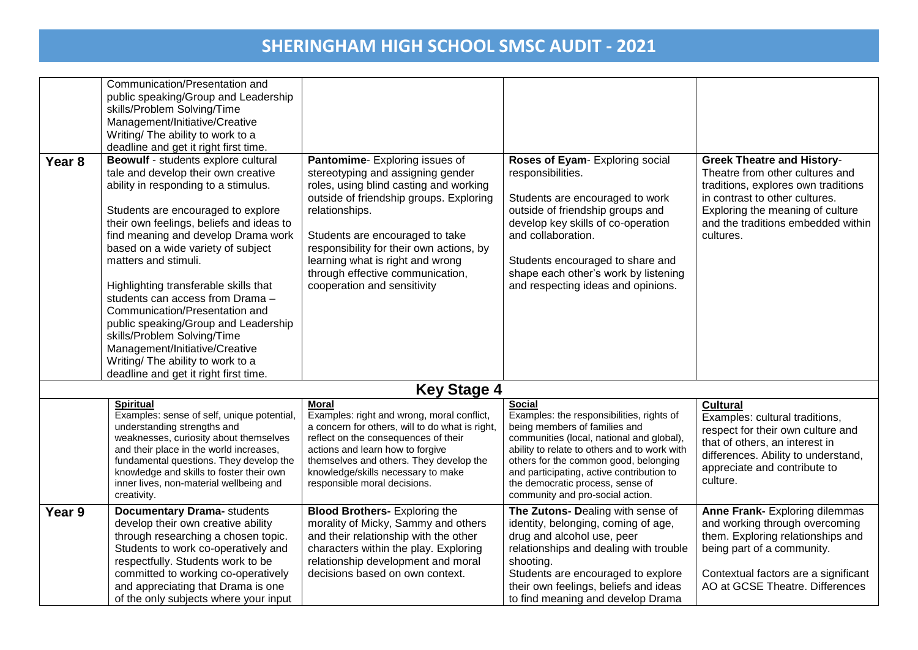| Year <sub>8</sub> | Communication/Presentation and<br>public speaking/Group and Leadership<br>skills/Problem Solving/Time<br>Management/Initiative/Creative<br>Writing/ The ability to work to a<br>deadline and get it right first time.<br>Beowulf - students explore cultural<br>tale and develop their own creative<br>ability in responding to a stimulus.                                                                                                                                               | Pantomime-Exploring issues of<br>stereotyping and assigning gender<br>roles, using blind casting and working<br>outside of friendship groups. Exploring                                                                                                                                                    | Roses of Eyam- Exploring social<br>responsibilities.<br>Students are encouraged to work                                                                                                                                                                                                                                                                | <b>Greek Theatre and History-</b><br>Theatre from other cultures and<br>traditions, explores own traditions<br>in contrast to other cultures.                                                                  |
|-------------------|-------------------------------------------------------------------------------------------------------------------------------------------------------------------------------------------------------------------------------------------------------------------------------------------------------------------------------------------------------------------------------------------------------------------------------------------------------------------------------------------|------------------------------------------------------------------------------------------------------------------------------------------------------------------------------------------------------------------------------------------------------------------------------------------------------------|--------------------------------------------------------------------------------------------------------------------------------------------------------------------------------------------------------------------------------------------------------------------------------------------------------------------------------------------------------|----------------------------------------------------------------------------------------------------------------------------------------------------------------------------------------------------------------|
|                   | Students are encouraged to explore<br>their own feelings, beliefs and ideas to<br>find meaning and develop Drama work<br>based on a wide variety of subject<br>matters and stimuli.<br>Highlighting transferable skills that<br>students can access from Drama -<br>Communication/Presentation and<br>public speaking/Group and Leadership<br>skills/Problem Solving/Time<br>Management/Initiative/Creative<br>Writing/ The ability to work to a<br>deadline and get it right first time. | relationships.<br>Students are encouraged to take<br>responsibility for their own actions, by<br>learning what is right and wrong<br>through effective communication,<br>cooperation and sensitivity                                                                                                       | outside of friendship groups and<br>develop key skills of co-operation<br>and collaboration.<br>Students encouraged to share and<br>shape each other's work by listening<br>and respecting ideas and opinions.                                                                                                                                         | Exploring the meaning of culture<br>and the traditions embedded within<br>cultures.                                                                                                                            |
|                   |                                                                                                                                                                                                                                                                                                                                                                                                                                                                                           | <b>Key Stage 4</b>                                                                                                                                                                                                                                                                                         |                                                                                                                                                                                                                                                                                                                                                        |                                                                                                                                                                                                                |
|                   | <b>Spiritual</b><br>Examples: sense of self, unique potential,<br>understanding strengths and<br>weaknesses, curiosity about themselves<br>and their place in the world increases,<br>fundamental questions. They develop the<br>knowledge and skills to foster their own<br>inner lives, non-material wellbeing and<br>creativity.                                                                                                                                                       | <b>Moral</b><br>Examples: right and wrong, moral conflict,<br>a concern for others, will to do what is right,<br>reflect on the consequences of their<br>actions and learn how to forgive<br>themselves and others. They develop the<br>knowledge/skills necessary to make<br>responsible moral decisions. | <b>Social</b><br>Examples: the responsibilities, rights of<br>being members of families and<br>communities (local, national and global),<br>ability to relate to others and to work with<br>others for the common good, belonging<br>and participating, active contribution to<br>the democratic process, sense of<br>community and pro-social action. | <b>Cultural</b><br>Examples: cultural traditions,<br>respect for their own culture and<br>that of others, an interest in<br>differences. Ability to understand,<br>appreciate and contribute to<br>culture.    |
| Year 9            | <b>Documentary Drama-</b> students<br>develop their own creative ability<br>through researching a chosen topic.<br>Students to work co-operatively and<br>respectfully. Students work to be<br>committed to working co-operatively<br>and appreciating that Drama is one<br>of the only subjects where your input                                                                                                                                                                         | <b>Blood Brothers- Exploring the</b><br>morality of Micky, Sammy and others<br>and their relationship with the other<br>characters within the play. Exploring<br>relationship development and moral<br>decisions based on own context.                                                                     | The Zutons- Dealing with sense of<br>identity, belonging, coming of age,<br>drug and alcohol use, peer<br>relationships and dealing with trouble<br>shooting.<br>Students are encouraged to explore<br>their own feelings, beliefs and ideas<br>to find meaning and develop Drama                                                                      | Anne Frank- Exploring dilemmas<br>and working through overcoming<br>them. Exploring relationships and<br>being part of a community.<br>Contextual factors are a significant<br>AO at GCSE Theatre. Differences |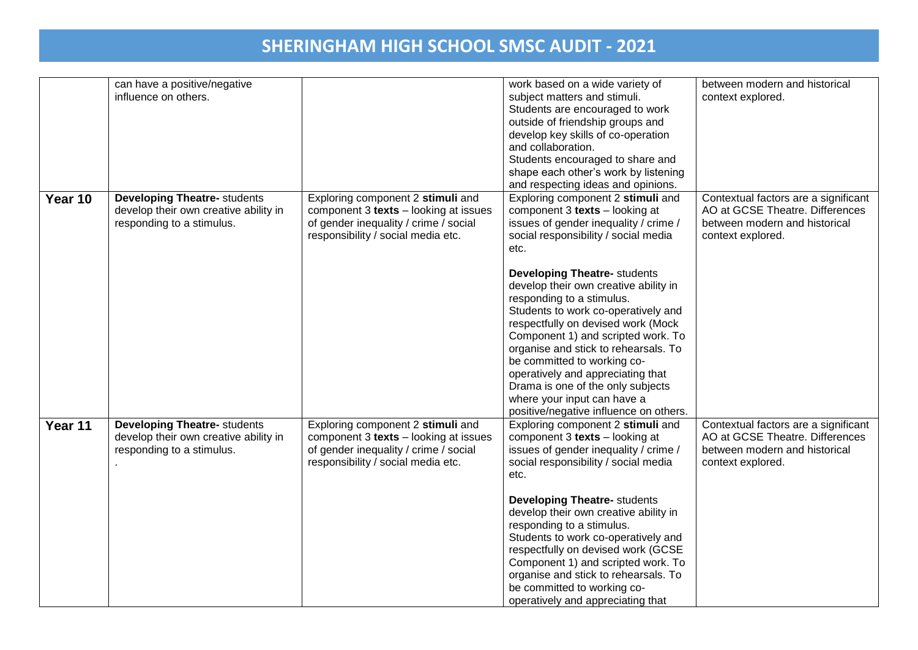|         | can have a positive/negative<br>influence on others.                                                      |                                                                                                                                                           | work based on a wide variety of<br>subject matters and stimuli.<br>Students are encouraged to work<br>outside of friendship groups and                                                                                                                                                                                                                                                                                                                 | between modern and historical<br>context explored.                                                                            |
|---------|-----------------------------------------------------------------------------------------------------------|-----------------------------------------------------------------------------------------------------------------------------------------------------------|--------------------------------------------------------------------------------------------------------------------------------------------------------------------------------------------------------------------------------------------------------------------------------------------------------------------------------------------------------------------------------------------------------------------------------------------------------|-------------------------------------------------------------------------------------------------------------------------------|
|         |                                                                                                           |                                                                                                                                                           | develop key skills of co-operation<br>and collaboration.<br>Students encouraged to share and<br>shape each other's work by listening<br>and respecting ideas and opinions.                                                                                                                                                                                                                                                                             |                                                                                                                               |
| Year 10 | <b>Developing Theatre- students</b><br>develop their own creative ability in<br>responding to a stimulus. | Exploring component 2 stimuli and<br>component 3 texts - looking at issues<br>of gender inequality / crime / social<br>responsibility / social media etc. | Exploring component 2 stimuli and<br>component 3 texts - looking at<br>issues of gender inequality / crime /<br>social responsibility / social media<br>etc.                                                                                                                                                                                                                                                                                           | Contextual factors are a significant<br>AO at GCSE Theatre. Differences<br>between modern and historical<br>context explored. |
|         |                                                                                                           |                                                                                                                                                           | <b>Developing Theatre- students</b><br>develop their own creative ability in<br>responding to a stimulus.<br>Students to work co-operatively and<br>respectfully on devised work (Mock<br>Component 1) and scripted work. To<br>organise and stick to rehearsals. To<br>be committed to working co-<br>operatively and appreciating that<br>Drama is one of the only subjects<br>where your input can have a<br>positive/negative influence on others. |                                                                                                                               |
| Year 11 | <b>Developing Theatre- students</b><br>develop their own creative ability in<br>responding to a stimulus. | Exploring component 2 stimuli and<br>component 3 texts - looking at issues<br>of gender inequality / crime / social<br>responsibility / social media etc. | Exploring component 2 stimuli and<br>component 3 texts - looking at<br>issues of gender inequality / crime /<br>social responsibility / social media<br>etc.                                                                                                                                                                                                                                                                                           | Contextual factors are a significant<br>AO at GCSE Theatre. Differences<br>between modern and historical<br>context explored. |
|         |                                                                                                           |                                                                                                                                                           | <b>Developing Theatre- students</b><br>develop their own creative ability in<br>responding to a stimulus.<br>Students to work co-operatively and<br>respectfully on devised work (GCSE<br>Component 1) and scripted work. To<br>organise and stick to rehearsals. To<br>be committed to working co-<br>operatively and appreciating that                                                                                                               |                                                                                                                               |